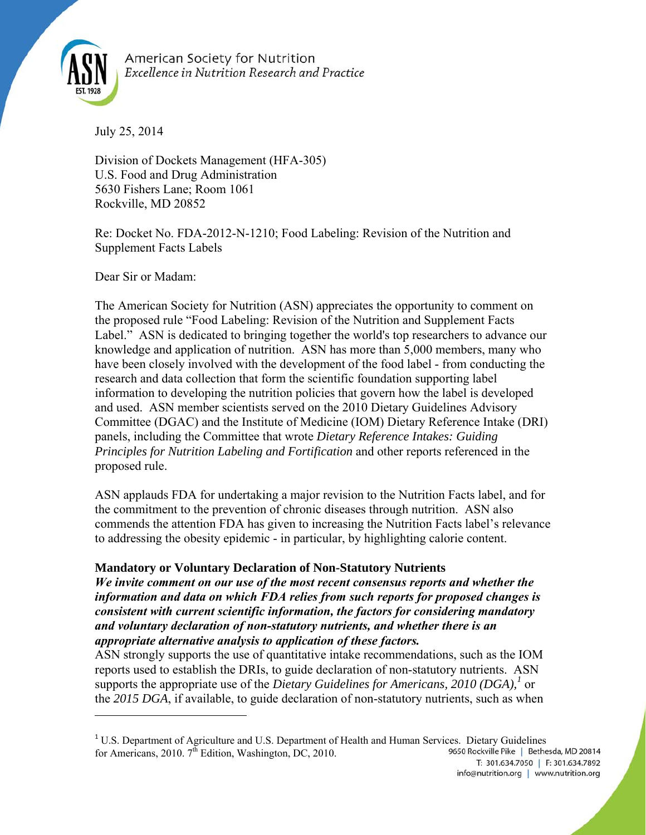

American Society for Nutrition **Excellence in Nutrition Research and Practice** 

July 25, 2014

Division of Dockets Management (HFA-305) U.S. Food and Drug Administration 5630 Fishers Lane; Room 1061 Rockville, MD 20852

Re: Docket No. FDA-2012-N-1210; Food Labeling: Revision of the Nutrition and Supplement Facts Labels

Dear Sir or Madam:

The American Society for Nutrition (ASN) appreciates the opportunity to comment on the proposed rule "Food Labeling: Revision of the Nutrition and Supplement Facts Label." ASN is dedicated to bringing together the world's top researchers to advance our knowledge and application of nutrition. ASN has more than 5,000 members, many who have been closely involved with the development of the food label - from conducting the research and data collection that form the scientific foundation supporting label information to developing the nutrition policies that govern how the label is developed and used. ASN member scientists served on the 2010 Dietary Guidelines Advisory Committee (DGAC) and the Institute of Medicine (IOM) Dietary Reference Intake (DRI) panels, including the Committee that wrote *Dietary Reference Intakes: Guiding Principles for Nutrition Labeling and Fortification* and other reports referenced in the proposed rule.

ASN applauds FDA for undertaking a major revision to the Nutrition Facts label, and for the commitment to the prevention of chronic diseases through nutrition. ASN also commends the attention FDA has given to increasing the Nutrition Facts label's relevance to addressing the obesity epidemic - in particular, by highlighting calorie content.

# **Mandatory or Voluntary Declaration of Non-Statutory Nutrients**

*We invite comment on our use of the most recent consensus reports and whether the information and data on which FDA relies from such reports for proposed changes is consistent with current scientific information, the factors for considering mandatory and voluntary declaration of non-statutory nutrients, and whether there is an appropriate alternative analysis to application of these factors.*

ASN strongly supports the use of quantitative intake recommendations, such as the IOM reports used to establish the DRIs, to guide declaration of non-statutory nutrients. ASN supports the appropriate use of the *Dietary Guidelines for Americans*, 2010 (DGA),<sup>1</sup> or the *2015 DGA*, if available, to guide declaration of non-statutory nutrients, such as when

 $1 \text{ U.S. Department of Agriculture and U.S. Department of Health and Human Services. Dietary Guidelines.$ for Americans, 2010.  $7<sup>th</sup>$  Edition, Washington, DC, 2010. 9650 Rockville Pike | Bethesda, MD 20814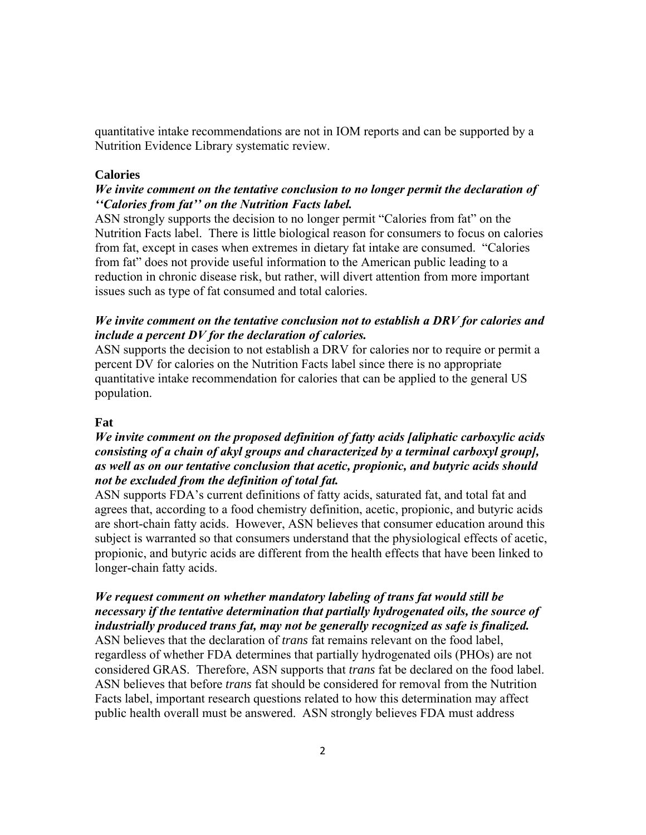quantitative intake recommendations are not in IOM reports and can be supported by a Nutrition Evidence Library systematic review.

#### **Calories**

#### *We invite comment on the tentative conclusion to no longer permit the declaration of ''Calories from fat'' on the Nutrition Facts label.*

ASN strongly supports the decision to no longer permit "Calories from fat" on the Nutrition Facts label. There is little biological reason for consumers to focus on calories from fat, except in cases when extremes in dietary fat intake are consumed. "Calories from fat" does not provide useful information to the American public leading to a reduction in chronic disease risk, but rather, will divert attention from more important issues such as type of fat consumed and total calories.

# *We invite comment on the tentative conclusion not to establish a DRV for calories and include a percent DV for the declaration of calories.*

ASN supports the decision to not establish a DRV for calories nor to require or permit a percent DV for calories on the Nutrition Facts label since there is no appropriate quantitative intake recommendation for calories that can be applied to the general US population.

#### **Fat**

# *We invite comment on the proposed definition of fatty acids [aliphatic carboxylic acids consisting of a chain of akyl groups and characterized by a terminal carboxyl group], as well as on our tentative conclusion that acetic, propionic, and butyric acids should not be excluded from the definition of total fat.*

ASN supports FDA's current definitions of fatty acids, saturated fat, and total fat and agrees that, according to a food chemistry definition, acetic, propionic, and butyric acids are short-chain fatty acids. However, ASN believes that consumer education around this subject is warranted so that consumers understand that the physiological effects of acetic, propionic, and butyric acids are different from the health effects that have been linked to longer-chain fatty acids.

# *We request comment on whether mandatory labeling of trans fat would still be necessary if the tentative determination that partially hydrogenated oils, the source of industrially produced trans fat, may not be generally recognized as safe is finalized.*

ASN believes that the declaration of *trans* fat remains relevant on the food label, regardless of whether FDA determines that partially hydrogenated oils (PHOs) are not considered GRAS. Therefore, ASN supports that *trans* fat be declared on the food label. ASN believes that before *trans* fat should be considered for removal from the Nutrition Facts label, important research questions related to how this determination may affect public health overall must be answered. ASN strongly believes FDA must address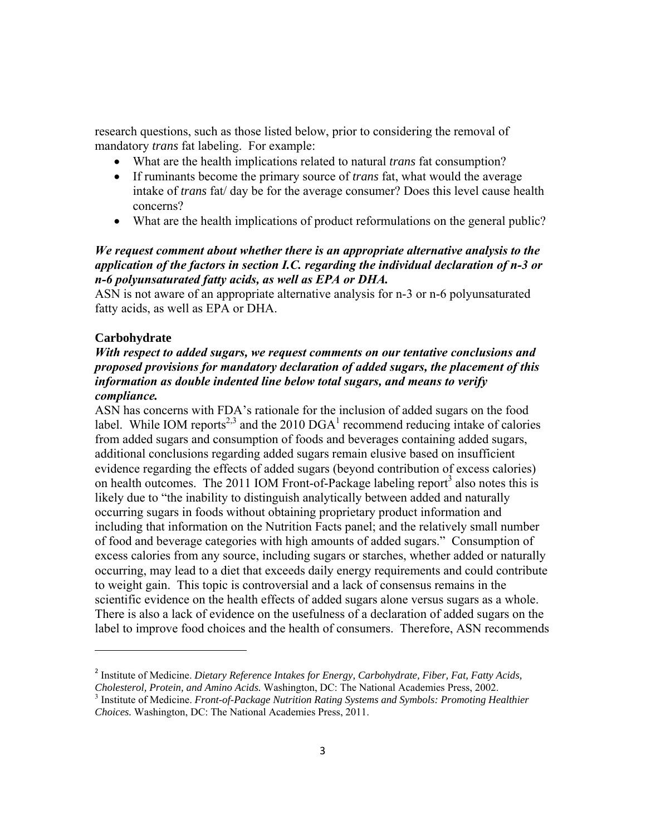research questions, such as those listed below, prior to considering the removal of mandatory *trans* fat labeling. For example:

- What are the health implications related to natural *trans* fat consumption?
- If ruminants become the primary source of *trans* fat, what would the average intake of *trans* fat/ day be for the average consumer? Does this level cause health concerns?
- What are the health implications of product reformulations on the general public?

# *We request comment about whether there is an appropriate alternative analysis to the application of the factors in section I.C. regarding the individual declaration of n-3 or n-6 polyunsaturated fatty acids, as well as EPA or DHA.*

ASN is not aware of an appropriate alternative analysis for n-3 or n-6 polyunsaturated fatty acids, as well as EPA or DHA.

# **Carbohydrate**

# *With respect to added sugars, we request comments on our tentative conclusions and proposed provisions for mandatory declaration of added sugars, the placement of this information as double indented line below total sugars, and means to verify compliance.*

ASN has concerns with FDA's rationale for the inclusion of added sugars on the food label. While IOM reports<sup>2,3</sup> and the 2010 DGA<sup>1</sup> recommend reducing intake of calories from added sugars and consumption of foods and beverages containing added sugars, additional conclusions regarding added sugars remain elusive based on insufficient evidence regarding the effects of added sugars (beyond contribution of excess calories) on health outcomes. The 2011 IOM Front-of-Package labeling report<sup>3</sup> also notes this is likely due to "the inability to distinguish analytically between added and naturally occurring sugars in foods without obtaining proprietary product information and including that information on the Nutrition Facts panel; and the relatively small number of food and beverage categories with high amounts of added sugars." Consumption of excess calories from any source, including sugars or starches, whether added or naturally occurring, may lead to a diet that exceeds daily energy requirements and could contribute to weight gain. This topic is controversial and a lack of consensus remains in the scientific evidence on the health effects of added sugars alone versus sugars as a whole. There is also a lack of evidence on the usefulness of a declaration of added sugars on the label to improve food choices and the health of consumers. Therefore, ASN recommends

<sup>2</sup> Institute of Medicine. *Dietary Reference Intakes for Energy, Carbohydrate, Fiber, Fat, Fatty Acids, Cholesterol, Protein, and Amino Acids.* Washington, DC: The National Academies Press, 2002. 3

<sup>&</sup>lt;sup>3</sup> Institute of Medicine. *Front-of-Package Nutrition Rating Systems and Symbols: Promoting Healthier Choices.* Washington, DC: The National Academies Press, 2011.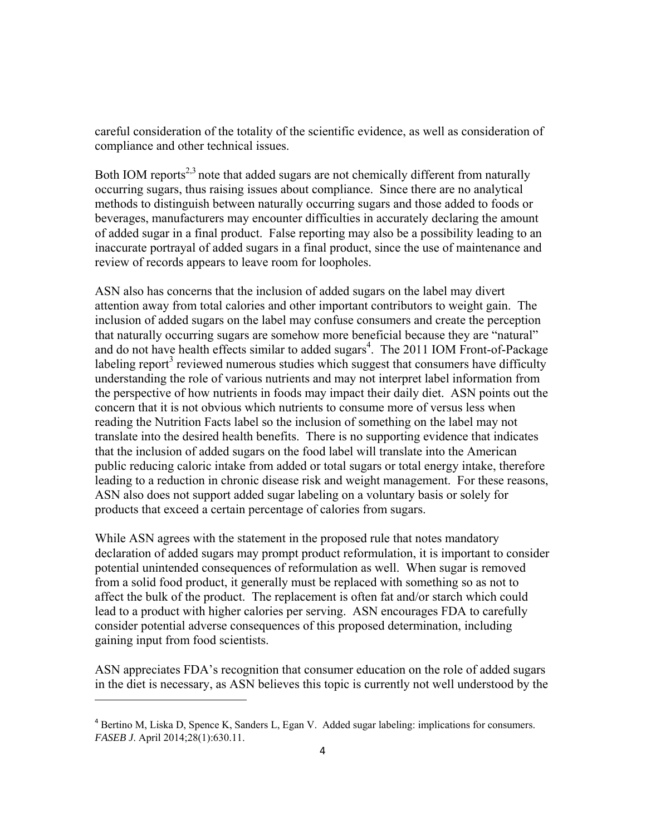careful consideration of the totality of the scientific evidence, as well as consideration of compliance and other technical issues.

Both IOM reports<sup>2,3</sup> note that added sugars are not chemically different from naturally occurring sugars, thus raising issues about compliance. Since there are no analytical methods to distinguish between naturally occurring sugars and those added to foods or beverages, manufacturers may encounter difficulties in accurately declaring the amount of added sugar in a final product. False reporting may also be a possibility leading to an inaccurate portrayal of added sugars in a final product, since the use of maintenance and review of records appears to leave room for loopholes.

ASN also has concerns that the inclusion of added sugars on the label may divert attention away from total calories and other important contributors to weight gain. The inclusion of added sugars on the label may confuse consumers and create the perception that naturally occurring sugars are somehow more beneficial because they are "natural" and do not have health effects similar to added sugars<sup>4</sup>. The 2011 IOM Front-of-Package labeling report<sup>3</sup> reviewed numerous studies which suggest that consumers have difficulty understanding the role of various nutrients and may not interpret label information from the perspective of how nutrients in foods may impact their daily diet. ASN points out the concern that it is not obvious which nutrients to consume more of versus less when reading the Nutrition Facts label so the inclusion of something on the label may not translate into the desired health benefits. There is no supporting evidence that indicates that the inclusion of added sugars on the food label will translate into the American public reducing caloric intake from added or total sugars or total energy intake, therefore leading to a reduction in chronic disease risk and weight management. For these reasons, ASN also does not support added sugar labeling on a voluntary basis or solely for products that exceed a certain percentage of calories from sugars.

While ASN agrees with the statement in the proposed rule that notes mandatory declaration of added sugars may prompt product reformulation, it is important to consider potential unintended consequences of reformulation as well. When sugar is removed from a solid food product, it generally must be replaced with something so as not to affect the bulk of the product. The replacement is often fat and/or starch which could lead to a product with higher calories per serving. ASN encourages FDA to carefully consider potential adverse consequences of this proposed determination, including gaining input from food scientists.

ASN appreciates FDA's recognition that consumer education on the role of added sugars in the diet is necessary, as ASN believes this topic is currently not well understood by the

<sup>4</sup> Bertino M, Liska D, Spence K, Sanders L, Egan V. Added sugar labeling: implications for consumers. *FASEB J*. April 2014;28(1):630.11.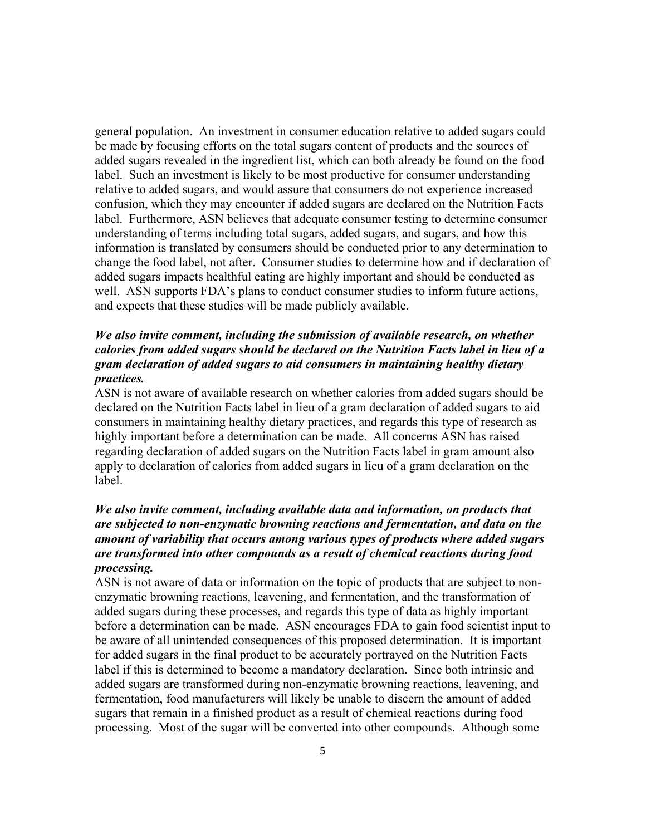general population. An investment in consumer education relative to added sugars could be made by focusing efforts on the total sugars content of products and the sources of added sugars revealed in the ingredient list, which can both already be found on the food label. Such an investment is likely to be most productive for consumer understanding relative to added sugars, and would assure that consumers do not experience increased confusion, which they may encounter if added sugars are declared on the Nutrition Facts label. Furthermore, ASN believes that adequate consumer testing to determine consumer understanding of terms including total sugars, added sugars, and sugars, and how this information is translated by consumers should be conducted prior to any determination to change the food label, not after. Consumer studies to determine how and if declaration of added sugars impacts healthful eating are highly important and should be conducted as well. ASN supports FDA's plans to conduct consumer studies to inform future actions, and expects that these studies will be made publicly available.

# *We also invite comment, including the submission of available research, on whether calories from added sugars should be declared on the Nutrition Facts label in lieu of a gram declaration of added sugars to aid consumers in maintaining healthy dietary practices.*

ASN is not aware of available research on whether calories from added sugars should be declared on the Nutrition Facts label in lieu of a gram declaration of added sugars to aid consumers in maintaining healthy dietary practices, and regards this type of research as highly important before a determination can be made. All concerns ASN has raised regarding declaration of added sugars on the Nutrition Facts label in gram amount also apply to declaration of calories from added sugars in lieu of a gram declaration on the label.

# *We also invite comment, including available data and information, on products that are subjected to non-enzymatic browning reactions and fermentation, and data on the amount of variability that occurs among various types of products where added sugars are transformed into other compounds as a result of chemical reactions during food processing.*

ASN is not aware of data or information on the topic of products that are subject to nonenzymatic browning reactions, leavening, and fermentation, and the transformation of added sugars during these processes, and regards this type of data as highly important before a determination can be made. ASN encourages FDA to gain food scientist input to be aware of all unintended consequences of this proposed determination. It is important for added sugars in the final product to be accurately portrayed on the Nutrition Facts label if this is determined to become a mandatory declaration. Since both intrinsic and added sugars are transformed during non-enzymatic browning reactions, leavening, and fermentation, food manufacturers will likely be unable to discern the amount of added sugars that remain in a finished product as a result of chemical reactions during food processing. Most of the sugar will be converted into other compounds. Although some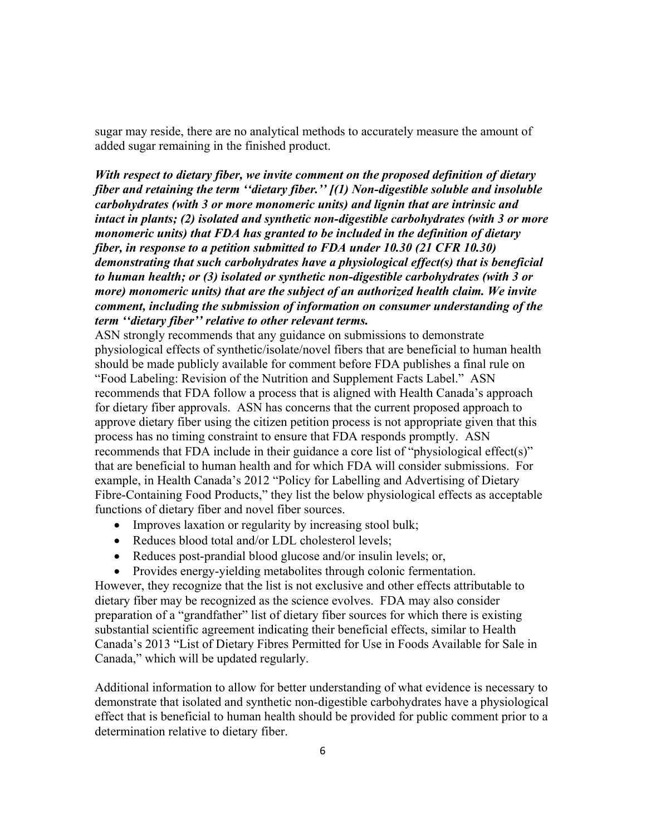sugar may reside, there are no analytical methods to accurately measure the amount of added sugar remaining in the finished product.

*With respect to dietary fiber, we invite comment on the proposed definition of dietary fiber and retaining the term ''dietary fiber.'' [(1) Non-digestible soluble and insoluble carbohydrates (with 3 or more monomeric units) and lignin that are intrinsic and intact in plants; (2) isolated and synthetic non-digestible carbohydrates (with 3 or more monomeric units) that FDA has granted to be included in the definition of dietary fiber, in response to a petition submitted to FDA under 10.30 (21 CFR 10.30) demonstrating that such carbohydrates have a physiological effect(s) that is beneficial to human health; or (3) isolated or synthetic non-digestible carbohydrates (with 3 or more)* monomeric units) that are the subject of an authorized health claim. We invite *comment, including the submission of information on consumer understanding of the term ''dietary fiber'' relative to other relevant terms.*

ASN strongly recommends that any guidance on submissions to demonstrate physiological effects of synthetic/isolate/novel fibers that are beneficial to human health should be made publicly available for comment before FDA publishes a final rule on "Food Labeling: Revision of the Nutrition and Supplement Facts Label." ASN recommends that FDA follow a process that is aligned with Health Canada's approach for dietary fiber approvals. ASN has concerns that the current proposed approach to approve dietary fiber using the citizen petition process is not appropriate given that this process has no timing constraint to ensure that FDA responds promptly. ASN recommends that FDA include in their guidance a core list of "physiological effect(s)" that are beneficial to human health and for which FDA will consider submissions. For example, in Health Canada's 2012 "Policy for Labelling and Advertising of Dietary Fibre-Containing Food Products," they list the below physiological effects as acceptable functions of dietary fiber and novel fiber sources.

- Improves laxation or regularity by increasing stool bulk;
- Reduces blood total and/or LDL cholesterol levels;
- Reduces post-prandial blood glucose and/or insulin levels; or,
- Provides energy-yielding metabolites through colonic fermentation.

However, they recognize that the list is not exclusive and other effects attributable to dietary fiber may be recognized as the science evolves. FDA may also consider preparation of a "grandfather" list of dietary fiber sources for which there is existing substantial scientific agreement indicating their beneficial effects, similar to Health Canada's 2013 "List of Dietary Fibres Permitted for Use in Foods Available for Sale in Canada," which will be updated regularly.

Additional information to allow for better understanding of what evidence is necessary to demonstrate that isolated and synthetic non-digestible carbohydrates have a physiological effect that is beneficial to human health should be provided for public comment prior to a determination relative to dietary fiber.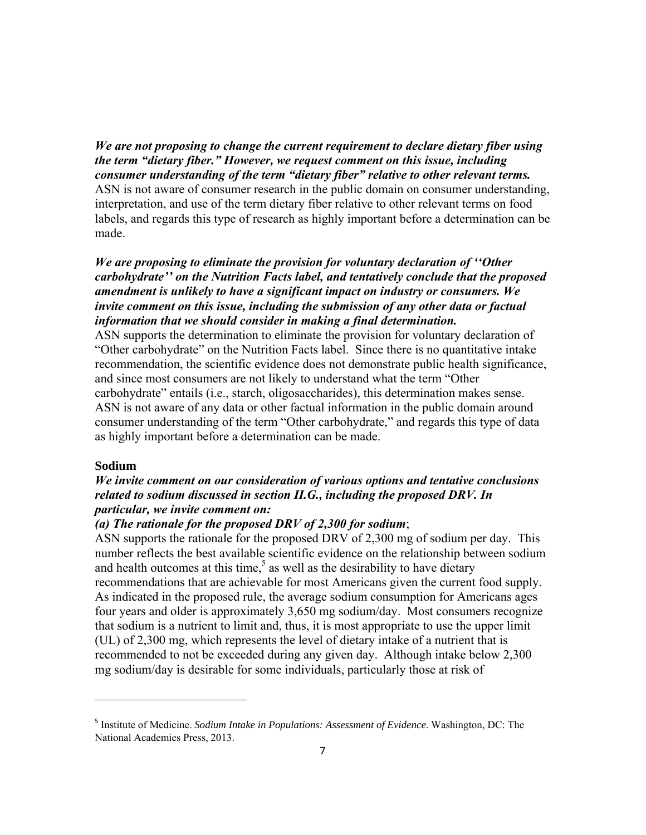*We are not proposing to change the current requirement to declare dietary fiber using the term "dietary fiber." However, we request comment on this issue, including consumer understanding of the term "dietary fiber" relative to other relevant terms.*  ASN is not aware of consumer research in the public domain on consumer understanding, interpretation, and use of the term dietary fiber relative to other relevant terms on food labels, and regards this type of research as highly important before a determination can be made.

*We are proposing to eliminate the provision for voluntary declaration of ''Other carbohydrate'' on the Nutrition Facts label, and tentatively conclude that the proposed amendment is unlikely to have a significant impact on industry or consumers. We invite comment on this issue, including the submission of any other data or factual information that we should consider in making a final determination.* 

ASN supports the determination to eliminate the provision for voluntary declaration of "Other carbohydrate" on the Nutrition Facts label. Since there is no quantitative intake recommendation, the scientific evidence does not demonstrate public health significance, and since most consumers are not likely to understand what the term "Other carbohydrate" entails (i.e., starch, oligosaccharides), this determination makes sense. ASN is not aware of any data or other factual information in the public domain around consumer understanding of the term "Other carbohydrate," and regards this type of data as highly important before a determination can be made.

#### **Sodium**

# *We invite comment on our consideration of various options and tentative conclusions related to sodium discussed in section II.G., including the proposed DRV. In particular, we invite comment on:*

#### *(a) The rationale for the proposed DRV of 2,300 for sodium*;

ASN supports the rationale for the proposed DRV of 2,300 mg of sodium per day. This number reflects the best available scientific evidence on the relationship between sodium and health outcomes at this time,<sup>5</sup> as well as the desirability to have dietary recommendations that are achievable for most Americans given the current food supply. As indicated in the proposed rule, the average sodium consumption for Americans ages four years and older is approximately 3,650 mg sodium/day. Most consumers recognize that sodium is a nutrient to limit and, thus, it is most appropriate to use the upper limit (UL) of 2,300 mg, which represents the level of dietary intake of a nutrient that is recommended to not be exceeded during any given day. Although intake below 2,300 mg sodium/day is desirable for some individuals, particularly those at risk of

<sup>5</sup> Institute of Medicine. *Sodium Intake in Populations: Assessment of Evidence*. Washington, DC: The National Academies Press, 2013.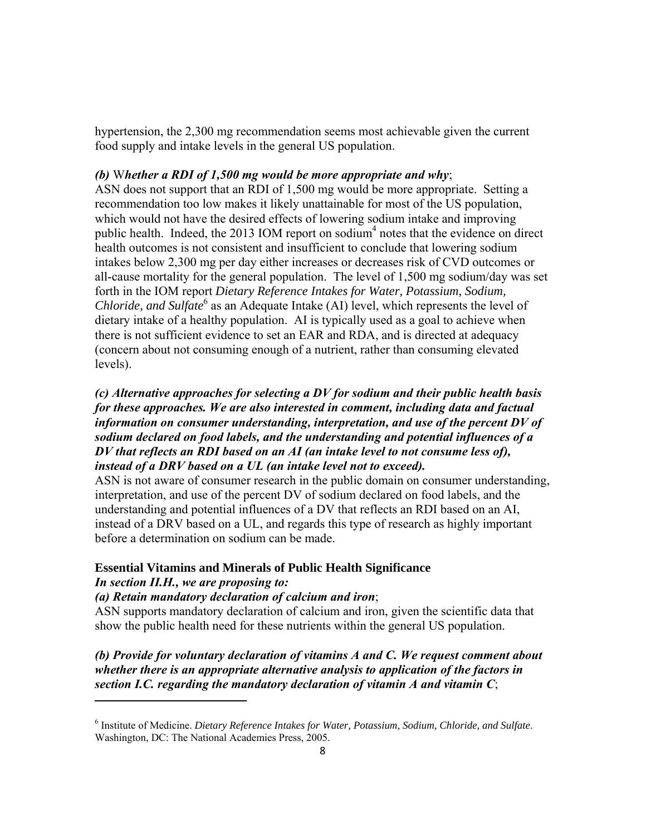hypertension, the 2,300 mg recommendation seems most achievable given the current food supply and intake levels in the general US population.

#### *(b)* W*hether a RDI of 1,500 mg would be more appropriate and why*;

ASN does not support that an RDI of 1,500 mg would be more appropriate. Setting a recommendation too low makes it likely unattainable for most of the US population, which would not have the desired effects of lowering sodium intake and improving public health. Indeed, the 2013 IOM report on sodium<sup>4</sup> notes that the evidence on direct health outcomes is not consistent and insufficient to conclude that lowering sodium intakes below 2,300 mg per day either increases or decreases risk of CVD outcomes or all-cause mortality for the general population. The level of 1,500 mg sodium/day was set forth in the IOM report *Dietary Reference Intakes for Water, Potassium, Sodium, Chloride, and Sulfate*<sup>6</sup> as an Adequate Intake (AI) level, which represents the level of dietary intake of a healthy population. AI is typically used as a goal to achieve when there is not sufficient evidence to set an EAR and RDA, and is directed at adequacy (concern about not consuming enough of a nutrient, rather than consuming elevated levels).

# *(c) Alternative approaches for selecting a DV for sodium and their public health basis for these approaches. We are also interested in comment, including data and factual information on consumer understanding, interpretation, and use of the percent DV of sodium declared on food labels, and the understanding and potential influences of a DV that reflects an RDI based on an AI (an intake level to not consume less of), instead of a DRV based on a UL (an intake level not to exceed).*

ASN is not aware of consumer research in the public domain on consumer understanding, interpretation, and use of the percent DV of sodium declared on food labels, and the understanding and potential influences of a DV that reflects an RDI based on an AI, instead of a DRV based on a UL, and regards this type of research as highly important before a determination on sodium can be made.

#### **Essential Vitamins and Minerals of Public Health Significance**

#### *In section II.H., we are proposing to:*

#### *(a) Retain mandatory declaration of calcium and iron*;

ASN supports mandatory declaration of calcium and iron, given the scientific data that show the public health need for these nutrients within the general US population.

*(b) Provide for voluntary declaration of vitamins A and C. We request comment about whether there is an appropriate alternative analysis to application of the factors in section I.C. regarding the mandatory declaration of vitamin A and vitamin C*;

<sup>6</sup> Institute of Medicine. *Dietary Reference Intakes for Water, Potassium, Sodium, Chloride, and Sulfate*. Washington, DC: The National Academies Press, 2005.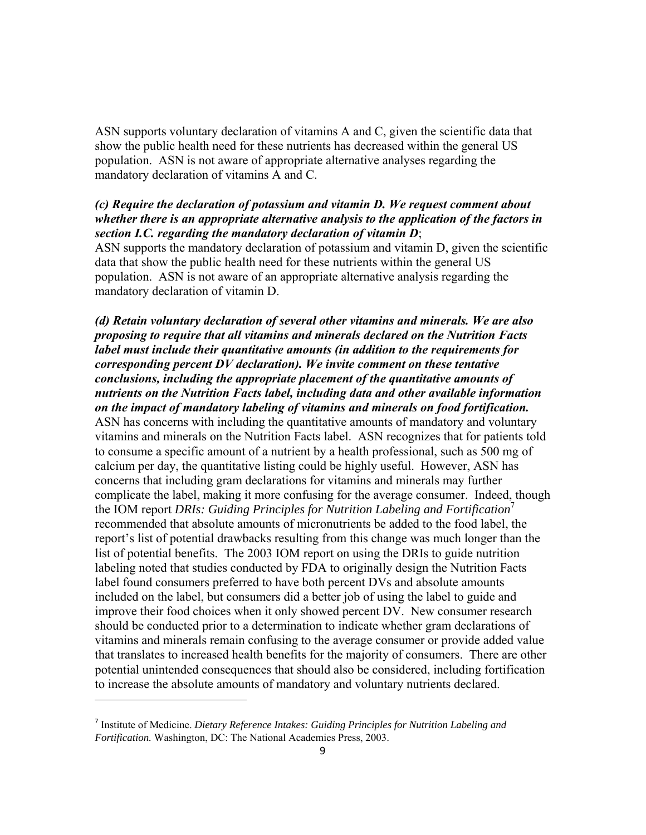ASN supports voluntary declaration of vitamins A and C, given the scientific data that show the public health need for these nutrients has decreased within the general US population. ASN is not aware of appropriate alternative analyses regarding the mandatory declaration of vitamins A and C.

# *(c) Require the declaration of potassium and vitamin D. We request comment about whether there is an appropriate alternative analysis to the application of the factors in section I.C. regarding the mandatory declaration of vitamin D*;

ASN supports the mandatory declaration of potassium and vitamin D, given the scientific data that show the public health need for these nutrients within the general US population. ASN is not aware of an appropriate alternative analysis regarding the mandatory declaration of vitamin D.

*(d) Retain voluntary declaration of several other vitamins and minerals. We are also proposing to require that all vitamins and minerals declared on the Nutrition Facts label must include their quantitative amounts (in addition to the requirements for corresponding percent DV declaration). We invite comment on these tentative conclusions, including the appropriate placement of the quantitative amounts of nutrients on the Nutrition Facts label, including data and other available information on the impact of mandatory labeling of vitamins and minerals on food fortification.*  ASN has concerns with including the quantitative amounts of mandatory and voluntary vitamins and minerals on the Nutrition Facts label. ASN recognizes that for patients told to consume a specific amount of a nutrient by a health professional, such as 500 mg of calcium per day, the quantitative listing could be highly useful. However, ASN has concerns that including gram declarations for vitamins and minerals may further complicate the label, making it more confusing for the average consumer. Indeed, though the IOM report *DRIs: Guiding Principles for Nutrition Labeling and Fortification*<sup>7</sup> recommended that absolute amounts of micronutrients be added to the food label, the report's list of potential drawbacks resulting from this change was much longer than the list of potential benefits. The 2003 IOM report on using the DRIs to guide nutrition labeling noted that studies conducted by FDA to originally design the Nutrition Facts label found consumers preferred to have both percent DVs and absolute amounts included on the label, but consumers did a better job of using the label to guide and improve their food choices when it only showed percent DV. New consumer research should be conducted prior to a determination to indicate whether gram declarations of vitamins and minerals remain confusing to the average consumer or provide added value that translates to increased health benefits for the majority of consumers. There are other potential unintended consequences that should also be considered, including fortification to increase the absolute amounts of mandatory and voluntary nutrients declared.

<sup>7</sup> Institute of Medicine. *Dietary Reference Intakes: Guiding Principles for Nutrition Labeling and Fortification.* Washington, DC: The National Academies Press, 2003.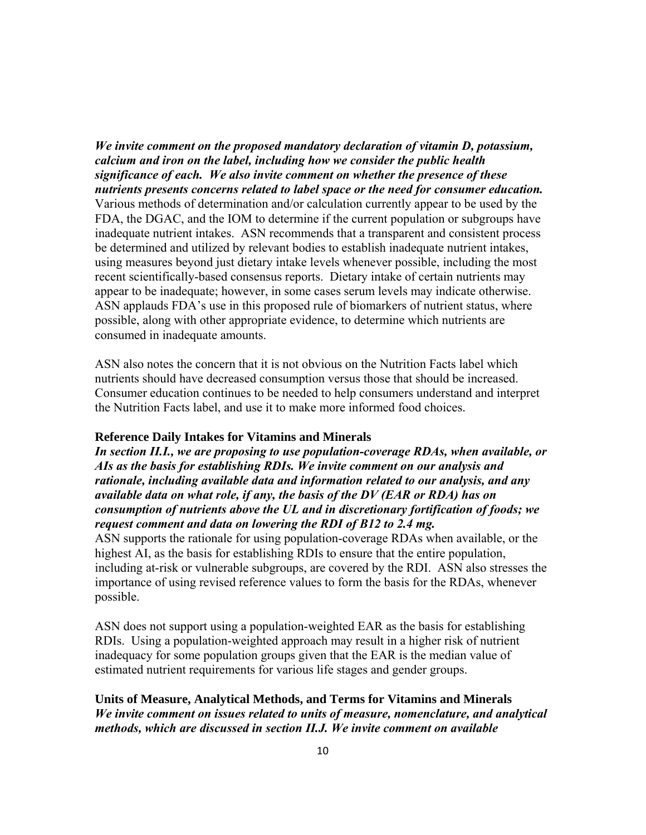*We invite comment on the proposed mandatory declaration of vitamin D, potassium, calcium and iron on the label, including how we consider the public health significance of each. We also invite comment on whether the presence of these nutrients presents concerns related to label space or the need for consumer education.*  Various methods of determination and/or calculation currently appear to be used by the FDA, the DGAC, and the IOM to determine if the current population or subgroups have inadequate nutrient intakes. ASN recommends that a transparent and consistent process be determined and utilized by relevant bodies to establish inadequate nutrient intakes, using measures beyond just dietary intake levels whenever possible, including the most recent scientifically-based consensus reports. Dietary intake of certain nutrients may appear to be inadequate; however, in some cases serum levels may indicate otherwise. ASN applauds FDA's use in this proposed rule of biomarkers of nutrient status, where possible, along with other appropriate evidence, to determine which nutrients are consumed in inadequate amounts.

ASN also notes the concern that it is not obvious on the Nutrition Facts label which nutrients should have decreased consumption versus those that should be increased. Consumer education continues to be needed to help consumers understand and interpret the Nutrition Facts label, and use it to make more informed food choices.

#### **Reference Daily Intakes for Vitamins and Minerals**

*In section II.I., we are proposing to use population-coverage RDAs, when available, or AIs as the basis for establishing RDIs. We invite comment on our analysis and rationale, including available data and information related to our analysis, and any available data on what role, if any, the basis of the DV (EAR or RDA) has on consumption of nutrients above the UL and in discretionary fortification of foods; we request comment and data on lowering the RDI of B12 to 2.4 mg.* 

ASN supports the rationale for using population-coverage RDAs when available, or the highest AI, as the basis for establishing RDIs to ensure that the entire population, including at-risk or vulnerable subgroups, are covered by the RDI. ASN also stresses the importance of using revised reference values to form the basis for the RDAs, whenever possible.

ASN does not support using a population-weighted EAR as the basis for establishing RDIs. Using a population-weighted approach may result in a higher risk of nutrient inadequacy for some population groups given that the EAR is the median value of estimated nutrient requirements for various life stages and gender groups.

**Units of Measure, Analytical Methods, and Terms for Vitamins and Minerals**  *We invite comment on issues related to units of measure, nomenclature, and analytical methods, which are discussed in section II.J. We invite comment on available*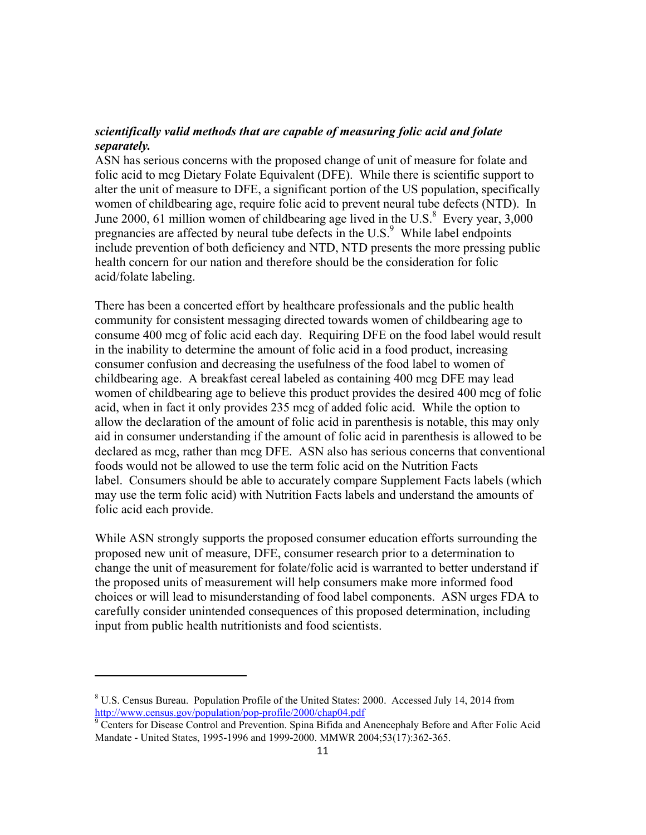# *scientifically valid methods that are capable of measuring folic acid and folate separately.*

ASN has serious concerns with the proposed change of unit of measure for folate and folic acid to mcg Dietary Folate Equivalent (DFE). While there is scientific support to alter the unit of measure to DFE, a significant portion of the US population, specifically women of childbearing age, require folic acid to prevent neural tube defects (NTD). In June 2000, 61 million women of childbearing age lived in the U.S. $^8$  Every year, 3,000 pregnancies are affected by neural tube defects in the U.S. $<sup>9</sup>$  While label endpoints</sup> include prevention of both deficiency and NTD, NTD presents the more pressing public health concern for our nation and therefore should be the consideration for folic acid/folate labeling.

There has been a concerted effort by healthcare professionals and the public health community for consistent messaging directed towards women of childbearing age to consume 400 mcg of folic acid each day. Requiring DFE on the food label would result in the inability to determine the amount of folic acid in a food product, increasing consumer confusion and decreasing the usefulness of the food label to women of childbearing age. A breakfast cereal labeled as containing 400 mcg DFE may lead women of childbearing age to believe this product provides the desired 400 mcg of folic acid, when in fact it only provides 235 mcg of added folic acid. While the option to allow the declaration of the amount of folic acid in parenthesis is notable, this may only aid in consumer understanding if the amount of folic acid in parenthesis is allowed to be declared as mcg, rather than mcg DFE. ASN also has serious concerns that conventional foods would not be allowed to use the term folic acid on the Nutrition Facts label. Consumers should be able to accurately compare Supplement Facts labels (which may use the term folic acid) with Nutrition Facts labels and understand the amounts of folic acid each provide.

While ASN strongly supports the proposed consumer education efforts surrounding the proposed new unit of measure, DFE, consumer research prior to a determination to change the unit of measurement for folate/folic acid is warranted to better understand if the proposed units of measurement will help consumers make more informed food choices or will lead to misunderstanding of food label components. ASN urges FDA to carefully consider unintended consequences of this proposed determination, including input from public health nutritionists and food scientists.

<sup>&</sup>lt;sup>8</sup> U.S. Census Bureau. Population Profile of the United States: 2000. Accessed July 14, 2014 from http://www.census.gov/population/pop-profile/2000/chap04.pdf

<sup>&</sup>lt;sup>9</sup> Centers for Disease Control and Prevention. Spina Bifida and Anencephaly Before and After Folic Acid Mandate **-** United States, 1995**-**1996 and 1999**-**2000. MMWR 2004;53(17):362-365.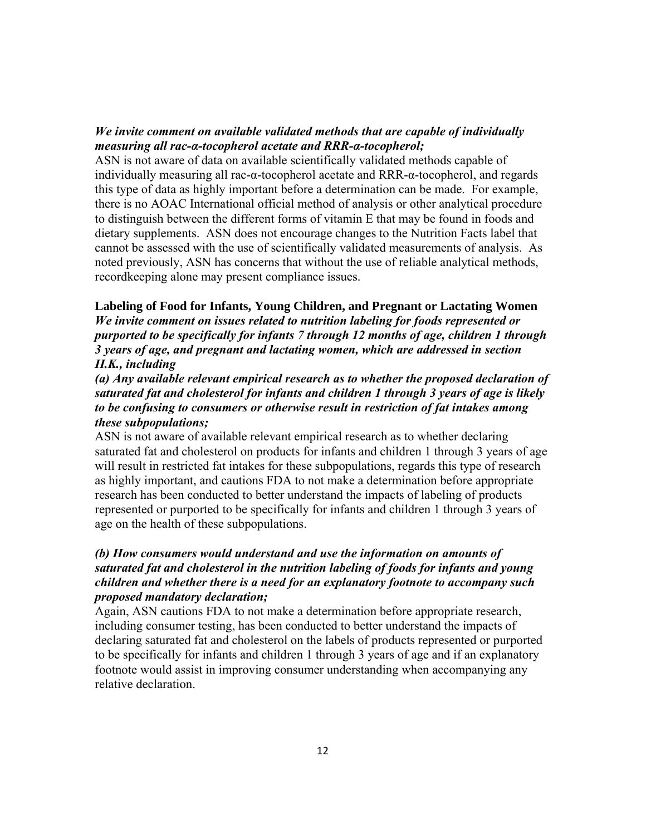# *We invite comment on available validated methods that are capable of individually measuring all rac-α-tocopherol acetate and RRR-α-tocopherol;*

ASN is not aware of data on available scientifically validated methods capable of individually measuring all rac-α-tocopherol acetate and RRR-α-tocopherol, and regards this type of data as highly important before a determination can be made. For example, there is no AOAC International official method of analysis or other analytical procedure to distinguish between the different forms of vitamin E that may be found in foods and dietary supplements. ASN does not encourage changes to the Nutrition Facts label that cannot be assessed with the use of scientifically validated measurements of analysis. As noted previously, ASN has concerns that without the use of reliable analytical methods, recordkeeping alone may present compliance issues.

#### **Labeling of Food for Infants, Young Children, and Pregnant or Lactating Women**

*We invite comment on issues related to nutrition labeling for foods represented or purported to be specifically for infants 7 through 12 months of age, children 1 through 3 years of age, and pregnant and lactating women, which are addressed in section II.K., including* 

*(a) Any available relevant empirical research as to whether the proposed declaration of saturated fat and cholesterol for infants and children 1 through 3 years of age is likely to be confusing to consumers or otherwise result in restriction of fat intakes among these subpopulations;* 

ASN is not aware of available relevant empirical research as to whether declaring saturated fat and cholesterol on products for infants and children 1 through 3 years of age will result in restricted fat intakes for these subpopulations, regards this type of research as highly important, and cautions FDA to not make a determination before appropriate research has been conducted to better understand the impacts of labeling of products represented or purported to be specifically for infants and children 1 through 3 years of age on the health of these subpopulations.

# *(b) How consumers would understand and use the information on amounts of saturated fat and cholesterol in the nutrition labeling of foods for infants and young children and whether there is a need for an explanatory footnote to accompany such proposed mandatory declaration;*

Again, ASN cautions FDA to not make a determination before appropriate research, including consumer testing, has been conducted to better understand the impacts of declaring saturated fat and cholesterol on the labels of products represented or purported to be specifically for infants and children 1 through 3 years of age and if an explanatory footnote would assist in improving consumer understanding when accompanying any relative declaration.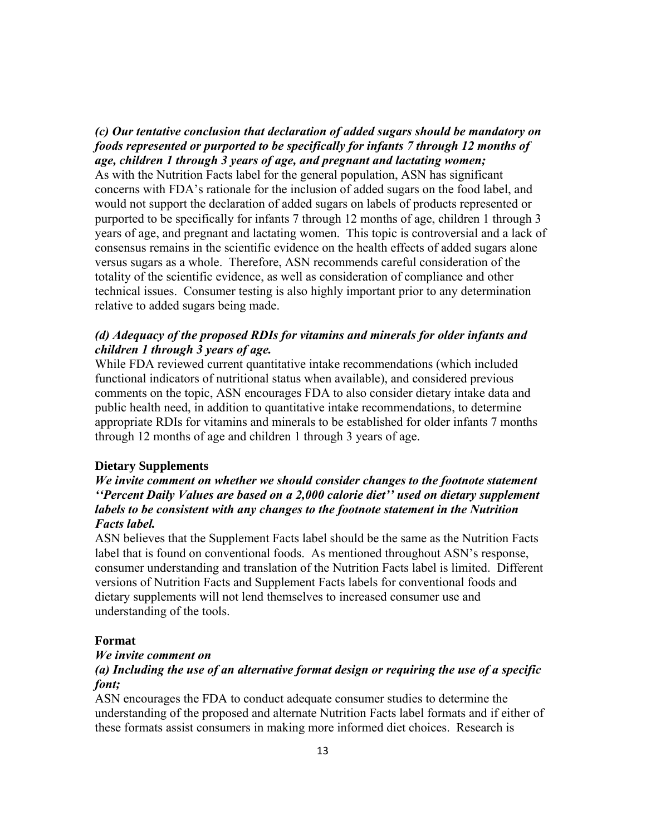# *(c) Our tentative conclusion that declaration of added sugars should be mandatory on foods represented or purported to be specifically for infants 7 through 12 months of age, children 1 through 3 years of age, and pregnant and lactating women;*

As with the Nutrition Facts label for the general population, ASN has significant concerns with FDA's rationale for the inclusion of added sugars on the food label, and would not support the declaration of added sugars on labels of products represented or purported to be specifically for infants 7 through 12 months of age, children 1 through 3 years of age, and pregnant and lactating women. This topic is controversial and a lack of consensus remains in the scientific evidence on the health effects of added sugars alone versus sugars as a whole. Therefore, ASN recommends careful consideration of the totality of the scientific evidence, as well as consideration of compliance and other technical issues. Consumer testing is also highly important prior to any determination relative to added sugars being made.

# *(d) Adequacy of the proposed RDIs for vitamins and minerals for older infants and children 1 through 3 years of age.*

While FDA reviewed current quantitative intake recommendations (which included functional indicators of nutritional status when available), and considered previous comments on the topic, ASN encourages FDA to also consider dietary intake data and public health need, in addition to quantitative intake recommendations, to determine appropriate RDIs for vitamins and minerals to be established for older infants 7 months through 12 months of age and children 1 through 3 years of age.

## **Dietary Supplements**

# *We invite comment on whether we should consider changes to the footnote statement ''Percent Daily Values are based on a 2,000 calorie diet'' used on dietary supplement labels to be consistent with any changes to the footnote statement in the Nutrition Facts label.*

ASN believes that the Supplement Facts label should be the same as the Nutrition Facts label that is found on conventional foods. As mentioned throughout ASN's response, consumer understanding and translation of the Nutrition Facts label is limited. Different versions of Nutrition Facts and Supplement Facts labels for conventional foods and dietary supplements will not lend themselves to increased consumer use and understanding of the tools.

#### **Format**

#### *We invite comment on*

## *(a) Including the use of an alternative format design or requiring the use of a specific font;*

ASN encourages the FDA to conduct adequate consumer studies to determine the understanding of the proposed and alternate Nutrition Facts label formats and if either of these formats assist consumers in making more informed diet choices. Research is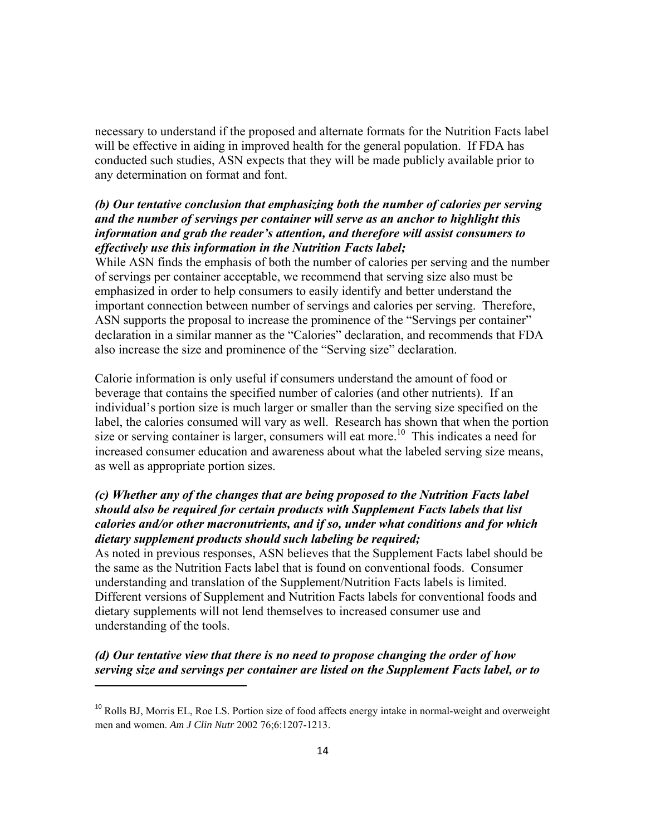necessary to understand if the proposed and alternate formats for the Nutrition Facts label will be effective in aiding in improved health for the general population. If FDA has conducted such studies, ASN expects that they will be made publicly available prior to any determination on format and font.

# *(b) Our tentative conclusion that emphasizing both the number of calories per serving and the number of servings per container will serve as an anchor to highlight this information and grab the reader's attention, and therefore will assist consumers to effectively use this information in the Nutrition Facts label;*

While ASN finds the emphasis of both the number of calories per serving and the number of servings per container acceptable, we recommend that serving size also must be emphasized in order to help consumers to easily identify and better understand the important connection between number of servings and calories per serving. Therefore, ASN supports the proposal to increase the prominence of the "Servings per container" declaration in a similar manner as the "Calories" declaration, and recommends that FDA also increase the size and prominence of the "Serving size" declaration.

Calorie information is only useful if consumers understand the amount of food or beverage that contains the specified number of calories (and other nutrients). If an individual's portion size is much larger or smaller than the serving size specified on the label, the calories consumed will vary as well. Research has shown that when the portion size or serving container is larger, consumers will eat more.<sup>10</sup> This indicates a need for increased consumer education and awareness about what the labeled serving size means, as well as appropriate portion sizes.

# *(c) Whether any of the changes that are being proposed to the Nutrition Facts label should also be required for certain products with Supplement Facts labels that list calories and/or other macronutrients, and if so, under what conditions and for which dietary supplement products should such labeling be required;*

As noted in previous responses, ASN believes that the Supplement Facts label should be the same as the Nutrition Facts label that is found on conventional foods. Consumer understanding and translation of the Supplement/Nutrition Facts labels is limited. Different versions of Supplement and Nutrition Facts labels for conventional foods and dietary supplements will not lend themselves to increased consumer use and understanding of the tools.

# *(d) Our tentative view that there is no need to propose changing the order of how serving size and servings per container are listed on the Supplement Facts label, or to*

 $10$  Rolls BJ, Morris EL, Roe LS. Portion size of food affects energy intake in normal-weight and overweight men and women. *Am J Clin Nutr* 2002 76;6:1207-1213.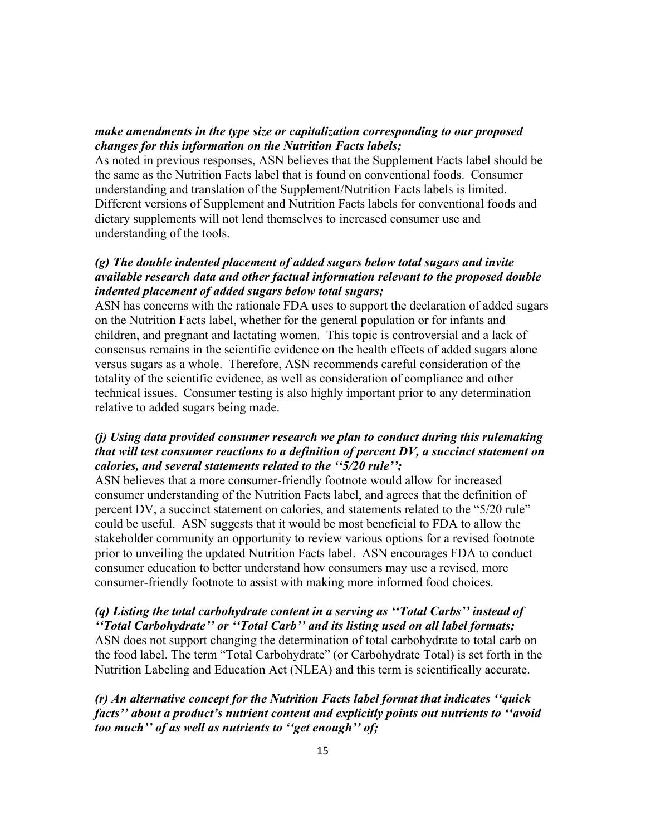## *make amendments in the type size or capitalization corresponding to our proposed changes for this information on the Nutrition Facts labels;*

As noted in previous responses, ASN believes that the Supplement Facts label should be the same as the Nutrition Facts label that is found on conventional foods. Consumer understanding and translation of the Supplement/Nutrition Facts labels is limited. Different versions of Supplement and Nutrition Facts labels for conventional foods and dietary supplements will not lend themselves to increased consumer use and understanding of the tools.

# *(g) The double indented placement of added sugars below total sugars and invite available research data and other factual information relevant to the proposed double indented placement of added sugars below total sugars;*

ASN has concerns with the rationale FDA uses to support the declaration of added sugars on the Nutrition Facts label, whether for the general population or for infants and children, and pregnant and lactating women. This topic is controversial and a lack of consensus remains in the scientific evidence on the health effects of added sugars alone versus sugars as a whole. Therefore, ASN recommends careful consideration of the totality of the scientific evidence, as well as consideration of compliance and other technical issues. Consumer testing is also highly important prior to any determination relative to added sugars being made.

## *(j) Using data provided consumer research we plan to conduct during this rulemaking that will test consumer reactions to a definition of percent DV, a succinct statement on calories, and several statements related to the ''5/20 rule'';*

ASN believes that a more consumer-friendly footnote would allow for increased consumer understanding of the Nutrition Facts label, and agrees that the definition of percent DV, a succinct statement on calories, and statements related to the "5/20 rule" could be useful. ASN suggests that it would be most beneficial to FDA to allow the stakeholder community an opportunity to review various options for a revised footnote prior to unveiling the updated Nutrition Facts label. ASN encourages FDA to conduct consumer education to better understand how consumers may use a revised, more consumer-friendly footnote to assist with making more informed food choices.

# *(q) Listing the total carbohydrate content in a serving as ''Total Carbs'' instead of*

*''Total Carbohydrate'' or ''Total Carb'' and its listing used on all label formats;*  ASN does not support changing the determination of total carbohydrate to total carb on the food label. The term "Total Carbohydrate" (or Carbohydrate Total) is set forth in the Nutrition Labeling and Education Act (NLEA) and this term is scientifically accurate.

*(r) An alternative concept for the Nutrition Facts label format that indicates ''quick facts'' about a product's nutrient content and explicitly points out nutrients to ''avoid too much'' of as well as nutrients to ''get enough'' of;*